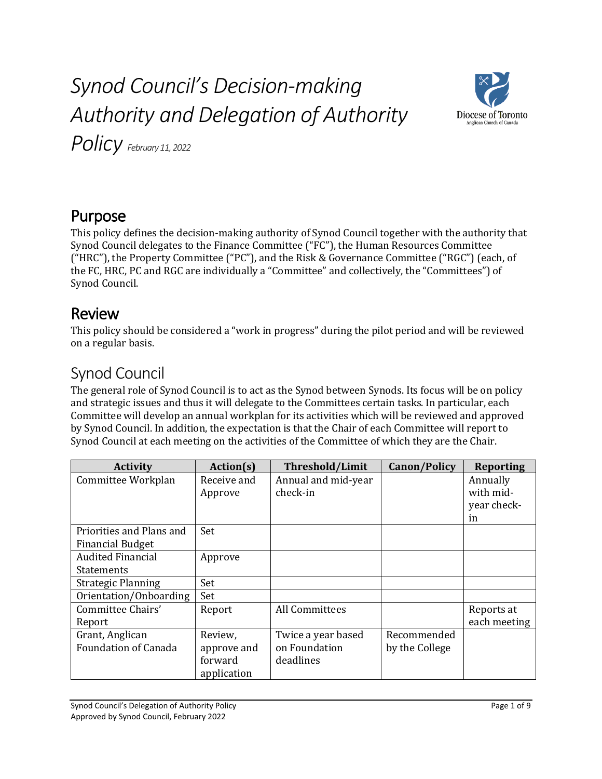# *Synod Council's Decision-making Authority and Delegation of Authority*



*Policy February 11, 2022*

# Purpose

This policy defines the decision-making authority of Synod Council together with the authority that Synod Council delegates to the Finance Committee ("FC"), the Human Resources Committee ("HRC"), the Property Committee ("PC"), and the Risk & Governance Committee ("RGC") (each, of the FC, HRC, PC and RGC are individually a "Committee" and collectively, the "Committees") of Synod Council.

### Review

This policy should be considered a "work in progress" during the pilot period and will be reviewed on a regular basis.

# Synod Council

The general role of Synod Council is to act as the Synod between Synods. Its focus will be on policy and strategic issues and thus it will delegate to the Committees certain tasks. In particular, each Committee will develop an annual workplan for its activities which will be reviewed and approved by Synod Council. In addition, the expectation is that the Chair of each Committee will report to Synod Council at each meeting on the activities of the Committee of which they are the Chair.

| <b>Activity</b>             | Action(s)   | <b>Threshold/Limit</b> | Canon/Policy   | <b>Reporting</b> |
|-----------------------------|-------------|------------------------|----------------|------------------|
| Committee Workplan          | Receive and | Annual and mid-year    |                | Annually         |
|                             | Approve     | check-in               |                | with mid-        |
|                             |             |                        |                | year check-      |
|                             |             |                        |                | in               |
| Priorities and Plans and    | Set         |                        |                |                  |
| <b>Financial Budget</b>     |             |                        |                |                  |
| <b>Audited Financial</b>    | Approve     |                        |                |                  |
| <b>Statements</b>           |             |                        |                |                  |
| <b>Strategic Planning</b>   | Set         |                        |                |                  |
| Orientation/Onboarding      | Set         |                        |                |                  |
| Committee Chairs'           | Report      | <b>All Committees</b>  |                | Reports at       |
| Report                      |             |                        |                | each meeting     |
| Grant, Anglican             | Review,     | Twice a year based     | Recommended    |                  |
| <b>Foundation of Canada</b> | approve and | on Foundation          | by the College |                  |
|                             | forward     | deadlines              |                |                  |
|                             | application |                        |                |                  |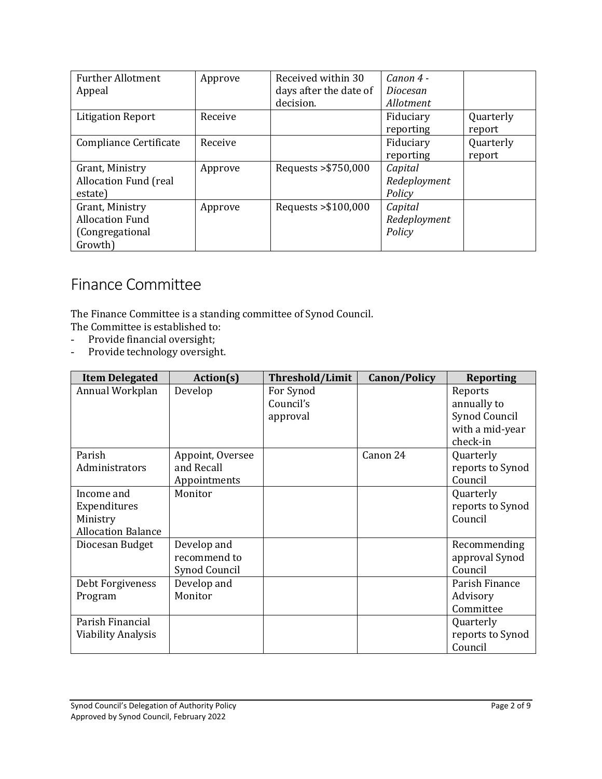| <b>Further Allotment</b>     | Approve | Received within 30     | $Canon$ 4 -  |           |
|------------------------------|---------|------------------------|--------------|-----------|
| Appeal                       |         | days after the date of | Diocesan     |           |
|                              |         | decision.              | Allotment    |           |
| <b>Litigation Report</b>     | Receive |                        | Fiduciary    | Quarterly |
|                              |         |                        | reporting    | report    |
| Compliance Certificate       | Receive |                        | Fiduciary    | Quarterly |
|                              |         |                        | reporting    | report    |
| Grant, Ministry              | Approve | Requests > \$750,000   | Capital      |           |
| <b>Allocation Fund (real</b> |         |                        | Redeployment |           |
| estate)                      |         |                        | Policy       |           |
| Grant, Ministry              | Approve | Requests $> $100,000$  | Capital      |           |
| <b>Allocation Fund</b>       |         |                        | Redeployment |           |
| (Congregational              |         |                        | Policy       |           |
| Growth)                      |         |                        |              |           |

## Finance Committee

The Finance Committee is a standing committee of Synod Council.

- The Committee is established to:
- Provide financial oversight;
- Provide technology oversight.

| <b>Item Delegated</b>                                               | Action(s)                                      | <b>Threshold/Limit</b>             | <b>Canon/Policy</b> | <b>Reporting</b>                                                       |
|---------------------------------------------------------------------|------------------------------------------------|------------------------------------|---------------------|------------------------------------------------------------------------|
| Annual Workplan                                                     | Develop                                        | For Synod<br>Council's<br>approval |                     | Reports<br>annually to<br>Synod Council<br>with a mid-year<br>check-in |
| Parish<br>Administrators                                            | Appoint, Oversee<br>and Recall<br>Appointments |                                    | Canon 24            | Quarterly<br>reports to Synod<br>Council                               |
| Income and<br>Expenditures<br>Ministry<br><b>Allocation Balance</b> | Monitor                                        |                                    |                     | Quarterly<br>reports to Synod<br>Council                               |
| Diocesan Budget                                                     | Develop and<br>recommend to<br>Synod Council   |                                    |                     | Recommending<br>approval Synod<br>Council                              |
| Debt Forgiveness<br>Program                                         | Develop and<br>Monitor                         |                                    |                     | Parish Finance<br>Advisory<br>Committee                                |
| Parish Financial<br><b>Viability Analysis</b>                       |                                                |                                    |                     | Quarterly<br>reports to Synod<br>Council                               |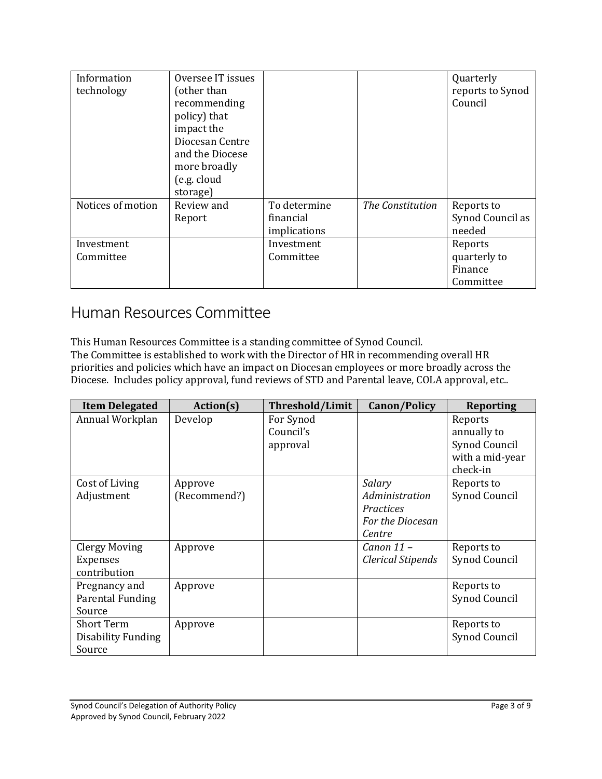| Information<br>technology | Oversee IT issues<br>(other than<br>recommending<br>policy) that<br>impact the<br>Diocesan Centre<br>and the Diocese<br>more broadly<br>(e.g. cloud<br>storage) |                                           |                  | Quarterly<br>reports to Synod<br>Council        |
|---------------------------|-----------------------------------------------------------------------------------------------------------------------------------------------------------------|-------------------------------------------|------------------|-------------------------------------------------|
| Notices of motion         | Review and<br>Report                                                                                                                                            | To determine<br>financial<br>implications | The Constitution | Reports to<br>Synod Council as<br>needed        |
| Investment<br>Committee   |                                                                                                                                                                 | Investment<br>Committee                   |                  | Reports<br>quarterly to<br>Finance<br>Committee |

### Human Resources Committee

This Human Resources Committee is a standing committee of Synod Council. The Committee is established to work with the Director of HR in recommending overall HR priorities and policies which have an impact on Diocesan employees or more broadly across the Diocese. Includes policy approval, fund reviews of STD and Parental leave, COLA approval, etc..

| <b>Item Delegated</b>     | Action(s)    | <b>Threshold/Limit</b> | <b>Canon/Policy</b>      | <b>Reporting</b> |
|---------------------------|--------------|------------------------|--------------------------|------------------|
| Annual Workplan           | Develop      | For Synod              |                          | Reports          |
|                           |              | Council's              |                          | annually to      |
|                           |              | approval               |                          | Synod Council    |
|                           |              |                        |                          | with a mid-year  |
|                           |              |                        |                          | check-in         |
| Cost of Living            | Approve      |                        | Salary                   | Reports to       |
| Adjustment                | (Recommend?) |                        | Administration           | Synod Council    |
|                           |              |                        | <b>Practices</b>         |                  |
|                           |              |                        | For the Diocesan         |                  |
|                           |              |                        | Centre                   |                  |
| <b>Clergy Moving</b>      | Approve      |                        | Canon 11 -               | Reports to       |
| <b>Expenses</b>           |              |                        | <b>Clerical Stipends</b> | Synod Council    |
| contribution              |              |                        |                          |                  |
| Pregnancy and             | Approve      |                        |                          | Reports to       |
| Parental Funding          |              |                        |                          | Synod Council    |
| Source                    |              |                        |                          |                  |
| <b>Short Term</b>         | Approve      |                        |                          | Reports to       |
| <b>Disability Funding</b> |              |                        |                          | Synod Council    |
| Source                    |              |                        |                          |                  |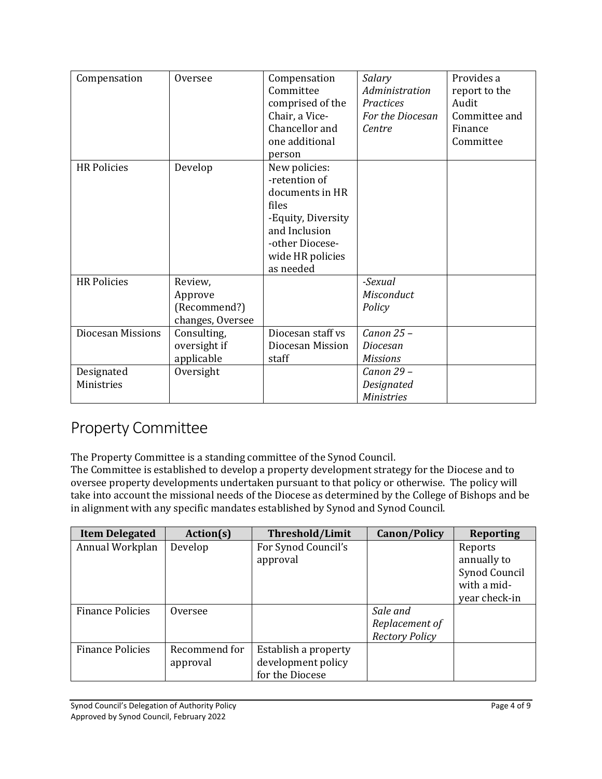| Compensation             | Oversee          | Compensation       | Salary            | Provides a    |
|--------------------------|------------------|--------------------|-------------------|---------------|
|                          |                  | Committee          | Administration    | report to the |
|                          |                  | comprised of the   | Practices         | Audit         |
|                          |                  | Chair, a Vice-     | For the Diocesan  | Committee and |
|                          |                  | Chancellor and     | Centre            | Finance       |
|                          |                  | one additional     |                   | Committee     |
|                          |                  | person             |                   |               |
| <b>HR Policies</b>       | Develop          | New policies:      |                   |               |
|                          |                  | -retention of      |                   |               |
|                          |                  | documents in HR    |                   |               |
|                          |                  | files              |                   |               |
|                          |                  | -Equity, Diversity |                   |               |
|                          |                  | and Inclusion      |                   |               |
|                          |                  | -other Diocese-    |                   |               |
|                          |                  | wide HR policies   |                   |               |
|                          |                  | as needed          |                   |               |
| <b>HR Policies</b>       | Review,          |                    | -Sexual           |               |
|                          | Approve          |                    | Misconduct        |               |
|                          | (Recommend?)     |                    | Policy            |               |
|                          | changes, Oversee |                    |                   |               |
| <b>Diocesan Missions</b> | Consulting,      | Diocesan staff vs  | Canon 25-         |               |
|                          | oversight if     | Diocesan Mission   | Diocesan          |               |
|                          | applicable       | staff              | <b>Missions</b>   |               |
| Designated               | Oversight        |                    | Canon 29 -        |               |
| Ministries               |                  |                    | Designated        |               |
|                          |                  |                    | <b>Ministries</b> |               |

### Property Committee

The Property Committee is a standing committee of the Synod Council.

The Committee is established to develop a property development strategy for the Diocese and to oversee property developments undertaken pursuant to that policy or otherwise. The policy will take into account the missional needs of the Diocese as determined by the College of Bishops and be in alignment with any specific mandates established by Synod and Synod Council.

| <b>Item Delegated</b>   | Action(s)     | Threshold/Limit      | <b>Canon/Policy</b>   | <b>Reporting</b> |
|-------------------------|---------------|----------------------|-----------------------|------------------|
| Annual Workplan         | Develop       | For Synod Council's  |                       | Reports          |
|                         |               | approval             |                       | annually to      |
|                         |               |                      |                       | Synod Council    |
|                         |               |                      |                       | with a mid-      |
|                         |               |                      |                       | year check-in    |
| <b>Finance Policies</b> | Oversee       |                      | Sale and              |                  |
|                         |               |                      | Replacement of        |                  |
|                         |               |                      | <b>Rectory Policy</b> |                  |
| <b>Finance Policies</b> | Recommend for | Establish a property |                       |                  |
|                         | approval      | development policy   |                       |                  |
|                         |               | for the Diocese      |                       |                  |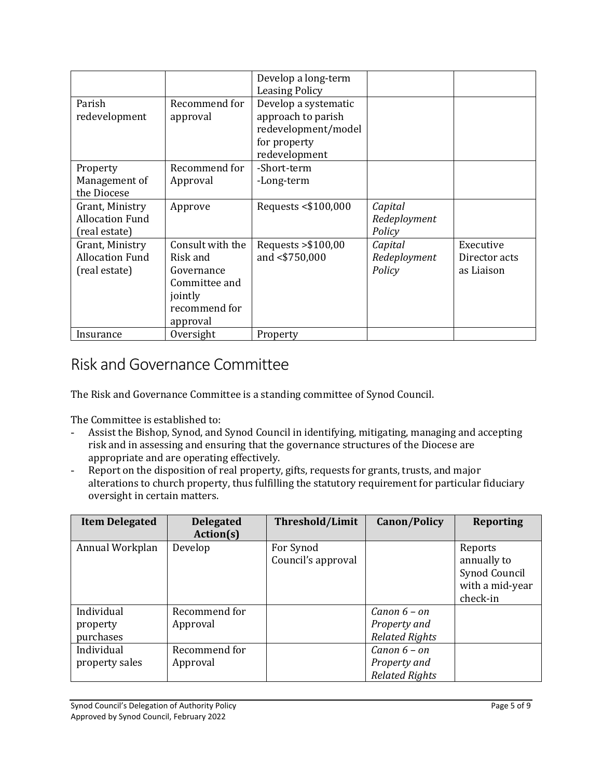|                        |                  | Develop a long-term   |              |               |
|------------------------|------------------|-----------------------|--------------|---------------|
|                        |                  | <b>Leasing Policy</b> |              |               |
| Parish                 | Recommend for    | Develop a systematic  |              |               |
| redevelopment          | approval         | approach to parish    |              |               |
|                        |                  | redevelopment/model   |              |               |
|                        |                  | for property          |              |               |
|                        |                  | redevelopment         |              |               |
| Property               | Recommend for    | -Short-term           |              |               |
| Management of          | Approval         | -Long-term            |              |               |
| the Diocese            |                  |                       |              |               |
| Grant, Ministry        | Approve          | Requests <\$100,000   | Capital      |               |
| <b>Allocation Fund</b> |                  |                       | Redeployment |               |
| (real estate)          |                  |                       | Policy       |               |
| Grant, Ministry        | Consult with the | Requests $> $100,00$  | Capital      | Executive     |
| <b>Allocation Fund</b> | Risk and         | and <\$750,000        | Redeployment | Director acts |
| (real estate)          | Governance       |                       | Policy       | as Liaison    |
|                        | Committee and    |                       |              |               |
|                        | jointly          |                       |              |               |
|                        | recommend for    |                       |              |               |
|                        | approval         |                       |              |               |
| Insurance              | Oversight        | Property              |              |               |

### Risk and Governance Committee

The Risk and Governance Committee is a standing committee of Synod Council.

The Committee is established to:

- Assist the Bishop, Synod, and Synod Council in identifying, mitigating, managing and accepting risk and in assessing and ensuring that the governance structures of the Diocese are appropriate and are operating effectively.
- Report on the disposition of real property, gifts, requests for grants, trusts, and major alterations to church property, thus fulfilling the statutory requirement for particular fiduciary oversight in certain matters.

| <b>Item Delegated</b>               | <b>Delegated</b><br>Action(s) | Threshold/Limit                 | <b>Canon/Policy</b>                                     | <b>Reporting</b>                                                       |
|-------------------------------------|-------------------------------|---------------------------------|---------------------------------------------------------|------------------------------------------------------------------------|
| Annual Workplan                     | Develop                       | For Synod<br>Council's approval |                                                         | Reports<br>annually to<br>Synod Council<br>with a mid-year<br>check-in |
| Individual<br>property<br>purchases | Recommend for<br>Approval     |                                 | Canon $6 - on$<br>Property and<br><b>Related Rights</b> |                                                                        |
| Individual<br>property sales        | Recommend for<br>Approval     |                                 | Canon $6 - on$<br>Property and<br><b>Related Rights</b> |                                                                        |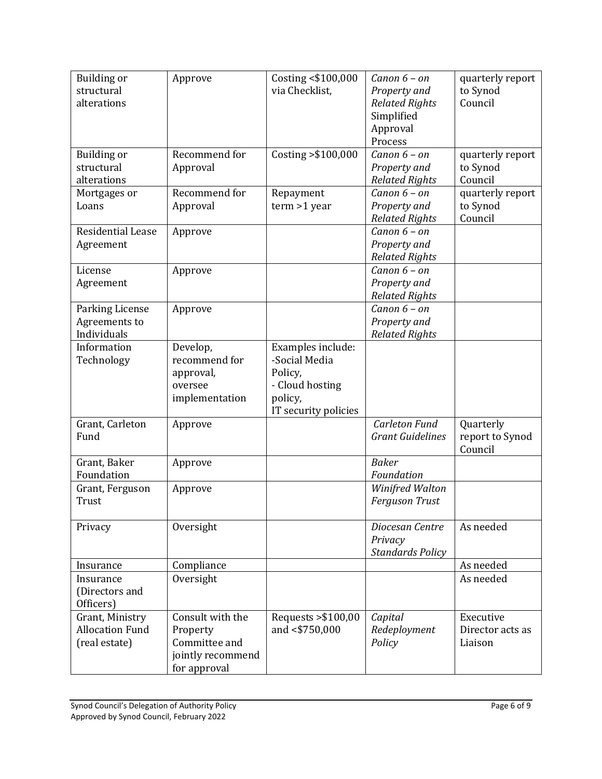| alterations<br>Council<br><b>Related Rights</b><br>Simplified<br>Approval<br>Process<br>Recommend for<br>Costing > \$100,000<br><b>Building or</b><br>Canon $6 - on$<br>quarterly report<br>structural<br>to Synod<br>Approval<br>Property and<br>Council<br>alterations<br><b>Related Rights</b><br>Recommend for<br>Repayment<br>Canon $6 - on$<br>quarterly report<br>Mortgages or<br>$term > 1$ year<br>to Synod<br>Loans<br>Approval<br>Property and<br>Council<br><b>Related Rights</b><br>Residential Lease<br>Canon $6 - on$<br>Approve<br>Property and<br>Agreement<br><b>Related Rights</b><br>Canon $6 - on$<br>License<br>Approve<br>Property and<br>Agreement<br><b>Related Rights</b><br>Canon $6 - on$<br>Parking License<br>Approve<br>Agreements to<br>Property and<br>Individuals<br><b>Related Rights</b><br>Information<br>Develop,<br>Examples include:<br>-Social Media<br>Technology<br>recommend for<br>Policy,<br>approval,<br>- Cloud hosting<br>oversee<br>policy,<br>implementation<br>IT security policies<br>Carleton Fund<br>Grant, Carleton<br>Quarterly<br>Approve<br>Fund<br><b>Grant Guidelines</b><br>report to Synod<br>Council<br><b>Baker</b><br>Grant, Baker<br>Approve<br>Foundation<br>Foundation<br>Winifred Walton<br>Grant, Ferguson<br>Approve<br><b>Ferguson Trust</b><br>Trust<br>Oversight<br>As needed<br>Diocesan Centre<br>Privacy<br>Privacy<br><b>Standards Policy</b><br>Compliance<br>As needed<br>Insurance<br>Oversight<br>As needed<br>Insurance<br>(Directors and<br>Officers)<br>Consult with the<br>Requests > \$100,00<br>Grant, Ministry<br>Capital<br>Executive<br><b>Allocation Fund</b><br>and <\$750,000<br>Property<br>Redeployment<br>Director acts as<br>(real estate)<br>Committee and<br>Policy<br>Liaison | Building or | Approve           | Costing <\$100,000 | Canon $6 - on$ | quarterly report |
|-------------------------------------------------------------------------------------------------------------------------------------------------------------------------------------------------------------------------------------------------------------------------------------------------------------------------------------------------------------------------------------------------------------------------------------------------------------------------------------------------------------------------------------------------------------------------------------------------------------------------------------------------------------------------------------------------------------------------------------------------------------------------------------------------------------------------------------------------------------------------------------------------------------------------------------------------------------------------------------------------------------------------------------------------------------------------------------------------------------------------------------------------------------------------------------------------------------------------------------------------------------------------------------------------------------------------------------------------------------------------------------------------------------------------------------------------------------------------------------------------------------------------------------------------------------------------------------------------------------------------------------------------------------------------------------------------------------------------------------------------------------------------------------|-------------|-------------------|--------------------|----------------|------------------|
|                                                                                                                                                                                                                                                                                                                                                                                                                                                                                                                                                                                                                                                                                                                                                                                                                                                                                                                                                                                                                                                                                                                                                                                                                                                                                                                                                                                                                                                                                                                                                                                                                                                                                                                                                                                     | structural  |                   | via Checklist.     | Property and   | to Synod         |
|                                                                                                                                                                                                                                                                                                                                                                                                                                                                                                                                                                                                                                                                                                                                                                                                                                                                                                                                                                                                                                                                                                                                                                                                                                                                                                                                                                                                                                                                                                                                                                                                                                                                                                                                                                                     |             |                   |                    |                |                  |
|                                                                                                                                                                                                                                                                                                                                                                                                                                                                                                                                                                                                                                                                                                                                                                                                                                                                                                                                                                                                                                                                                                                                                                                                                                                                                                                                                                                                                                                                                                                                                                                                                                                                                                                                                                                     |             |                   |                    |                |                  |
|                                                                                                                                                                                                                                                                                                                                                                                                                                                                                                                                                                                                                                                                                                                                                                                                                                                                                                                                                                                                                                                                                                                                                                                                                                                                                                                                                                                                                                                                                                                                                                                                                                                                                                                                                                                     |             |                   |                    |                |                  |
|                                                                                                                                                                                                                                                                                                                                                                                                                                                                                                                                                                                                                                                                                                                                                                                                                                                                                                                                                                                                                                                                                                                                                                                                                                                                                                                                                                                                                                                                                                                                                                                                                                                                                                                                                                                     |             |                   |                    |                |                  |
|                                                                                                                                                                                                                                                                                                                                                                                                                                                                                                                                                                                                                                                                                                                                                                                                                                                                                                                                                                                                                                                                                                                                                                                                                                                                                                                                                                                                                                                                                                                                                                                                                                                                                                                                                                                     |             |                   |                    |                |                  |
|                                                                                                                                                                                                                                                                                                                                                                                                                                                                                                                                                                                                                                                                                                                                                                                                                                                                                                                                                                                                                                                                                                                                                                                                                                                                                                                                                                                                                                                                                                                                                                                                                                                                                                                                                                                     |             |                   |                    |                |                  |
|                                                                                                                                                                                                                                                                                                                                                                                                                                                                                                                                                                                                                                                                                                                                                                                                                                                                                                                                                                                                                                                                                                                                                                                                                                                                                                                                                                                                                                                                                                                                                                                                                                                                                                                                                                                     |             |                   |                    |                |                  |
|                                                                                                                                                                                                                                                                                                                                                                                                                                                                                                                                                                                                                                                                                                                                                                                                                                                                                                                                                                                                                                                                                                                                                                                                                                                                                                                                                                                                                                                                                                                                                                                                                                                                                                                                                                                     |             |                   |                    |                |                  |
|                                                                                                                                                                                                                                                                                                                                                                                                                                                                                                                                                                                                                                                                                                                                                                                                                                                                                                                                                                                                                                                                                                                                                                                                                                                                                                                                                                                                                                                                                                                                                                                                                                                                                                                                                                                     |             |                   |                    |                |                  |
|                                                                                                                                                                                                                                                                                                                                                                                                                                                                                                                                                                                                                                                                                                                                                                                                                                                                                                                                                                                                                                                                                                                                                                                                                                                                                                                                                                                                                                                                                                                                                                                                                                                                                                                                                                                     |             |                   |                    |                |                  |
|                                                                                                                                                                                                                                                                                                                                                                                                                                                                                                                                                                                                                                                                                                                                                                                                                                                                                                                                                                                                                                                                                                                                                                                                                                                                                                                                                                                                                                                                                                                                                                                                                                                                                                                                                                                     |             |                   |                    |                |                  |
|                                                                                                                                                                                                                                                                                                                                                                                                                                                                                                                                                                                                                                                                                                                                                                                                                                                                                                                                                                                                                                                                                                                                                                                                                                                                                                                                                                                                                                                                                                                                                                                                                                                                                                                                                                                     |             |                   |                    |                |                  |
|                                                                                                                                                                                                                                                                                                                                                                                                                                                                                                                                                                                                                                                                                                                                                                                                                                                                                                                                                                                                                                                                                                                                                                                                                                                                                                                                                                                                                                                                                                                                                                                                                                                                                                                                                                                     |             |                   |                    |                |                  |
|                                                                                                                                                                                                                                                                                                                                                                                                                                                                                                                                                                                                                                                                                                                                                                                                                                                                                                                                                                                                                                                                                                                                                                                                                                                                                                                                                                                                                                                                                                                                                                                                                                                                                                                                                                                     |             |                   |                    |                |                  |
|                                                                                                                                                                                                                                                                                                                                                                                                                                                                                                                                                                                                                                                                                                                                                                                                                                                                                                                                                                                                                                                                                                                                                                                                                                                                                                                                                                                                                                                                                                                                                                                                                                                                                                                                                                                     |             |                   |                    |                |                  |
|                                                                                                                                                                                                                                                                                                                                                                                                                                                                                                                                                                                                                                                                                                                                                                                                                                                                                                                                                                                                                                                                                                                                                                                                                                                                                                                                                                                                                                                                                                                                                                                                                                                                                                                                                                                     |             |                   |                    |                |                  |
|                                                                                                                                                                                                                                                                                                                                                                                                                                                                                                                                                                                                                                                                                                                                                                                                                                                                                                                                                                                                                                                                                                                                                                                                                                                                                                                                                                                                                                                                                                                                                                                                                                                                                                                                                                                     |             |                   |                    |                |                  |
|                                                                                                                                                                                                                                                                                                                                                                                                                                                                                                                                                                                                                                                                                                                                                                                                                                                                                                                                                                                                                                                                                                                                                                                                                                                                                                                                                                                                                                                                                                                                                                                                                                                                                                                                                                                     |             |                   |                    |                |                  |
|                                                                                                                                                                                                                                                                                                                                                                                                                                                                                                                                                                                                                                                                                                                                                                                                                                                                                                                                                                                                                                                                                                                                                                                                                                                                                                                                                                                                                                                                                                                                                                                                                                                                                                                                                                                     |             |                   |                    |                |                  |
|                                                                                                                                                                                                                                                                                                                                                                                                                                                                                                                                                                                                                                                                                                                                                                                                                                                                                                                                                                                                                                                                                                                                                                                                                                                                                                                                                                                                                                                                                                                                                                                                                                                                                                                                                                                     |             |                   |                    |                |                  |
|                                                                                                                                                                                                                                                                                                                                                                                                                                                                                                                                                                                                                                                                                                                                                                                                                                                                                                                                                                                                                                                                                                                                                                                                                                                                                                                                                                                                                                                                                                                                                                                                                                                                                                                                                                                     |             |                   |                    |                |                  |
|                                                                                                                                                                                                                                                                                                                                                                                                                                                                                                                                                                                                                                                                                                                                                                                                                                                                                                                                                                                                                                                                                                                                                                                                                                                                                                                                                                                                                                                                                                                                                                                                                                                                                                                                                                                     |             |                   |                    |                |                  |
|                                                                                                                                                                                                                                                                                                                                                                                                                                                                                                                                                                                                                                                                                                                                                                                                                                                                                                                                                                                                                                                                                                                                                                                                                                                                                                                                                                                                                                                                                                                                                                                                                                                                                                                                                                                     |             |                   |                    |                |                  |
|                                                                                                                                                                                                                                                                                                                                                                                                                                                                                                                                                                                                                                                                                                                                                                                                                                                                                                                                                                                                                                                                                                                                                                                                                                                                                                                                                                                                                                                                                                                                                                                                                                                                                                                                                                                     |             |                   |                    |                |                  |
|                                                                                                                                                                                                                                                                                                                                                                                                                                                                                                                                                                                                                                                                                                                                                                                                                                                                                                                                                                                                                                                                                                                                                                                                                                                                                                                                                                                                                                                                                                                                                                                                                                                                                                                                                                                     |             |                   |                    |                |                  |
|                                                                                                                                                                                                                                                                                                                                                                                                                                                                                                                                                                                                                                                                                                                                                                                                                                                                                                                                                                                                                                                                                                                                                                                                                                                                                                                                                                                                                                                                                                                                                                                                                                                                                                                                                                                     |             |                   |                    |                |                  |
|                                                                                                                                                                                                                                                                                                                                                                                                                                                                                                                                                                                                                                                                                                                                                                                                                                                                                                                                                                                                                                                                                                                                                                                                                                                                                                                                                                                                                                                                                                                                                                                                                                                                                                                                                                                     |             |                   |                    |                |                  |
|                                                                                                                                                                                                                                                                                                                                                                                                                                                                                                                                                                                                                                                                                                                                                                                                                                                                                                                                                                                                                                                                                                                                                                                                                                                                                                                                                                                                                                                                                                                                                                                                                                                                                                                                                                                     |             |                   |                    |                |                  |
|                                                                                                                                                                                                                                                                                                                                                                                                                                                                                                                                                                                                                                                                                                                                                                                                                                                                                                                                                                                                                                                                                                                                                                                                                                                                                                                                                                                                                                                                                                                                                                                                                                                                                                                                                                                     |             |                   |                    |                |                  |
|                                                                                                                                                                                                                                                                                                                                                                                                                                                                                                                                                                                                                                                                                                                                                                                                                                                                                                                                                                                                                                                                                                                                                                                                                                                                                                                                                                                                                                                                                                                                                                                                                                                                                                                                                                                     |             |                   |                    |                |                  |
|                                                                                                                                                                                                                                                                                                                                                                                                                                                                                                                                                                                                                                                                                                                                                                                                                                                                                                                                                                                                                                                                                                                                                                                                                                                                                                                                                                                                                                                                                                                                                                                                                                                                                                                                                                                     |             |                   |                    |                |                  |
|                                                                                                                                                                                                                                                                                                                                                                                                                                                                                                                                                                                                                                                                                                                                                                                                                                                                                                                                                                                                                                                                                                                                                                                                                                                                                                                                                                                                                                                                                                                                                                                                                                                                                                                                                                                     |             |                   |                    |                |                  |
|                                                                                                                                                                                                                                                                                                                                                                                                                                                                                                                                                                                                                                                                                                                                                                                                                                                                                                                                                                                                                                                                                                                                                                                                                                                                                                                                                                                                                                                                                                                                                                                                                                                                                                                                                                                     |             |                   |                    |                |                  |
|                                                                                                                                                                                                                                                                                                                                                                                                                                                                                                                                                                                                                                                                                                                                                                                                                                                                                                                                                                                                                                                                                                                                                                                                                                                                                                                                                                                                                                                                                                                                                                                                                                                                                                                                                                                     |             |                   |                    |                |                  |
|                                                                                                                                                                                                                                                                                                                                                                                                                                                                                                                                                                                                                                                                                                                                                                                                                                                                                                                                                                                                                                                                                                                                                                                                                                                                                                                                                                                                                                                                                                                                                                                                                                                                                                                                                                                     |             |                   |                    |                |                  |
|                                                                                                                                                                                                                                                                                                                                                                                                                                                                                                                                                                                                                                                                                                                                                                                                                                                                                                                                                                                                                                                                                                                                                                                                                                                                                                                                                                                                                                                                                                                                                                                                                                                                                                                                                                                     |             |                   |                    |                |                  |
|                                                                                                                                                                                                                                                                                                                                                                                                                                                                                                                                                                                                                                                                                                                                                                                                                                                                                                                                                                                                                                                                                                                                                                                                                                                                                                                                                                                                                                                                                                                                                                                                                                                                                                                                                                                     |             |                   |                    |                |                  |
|                                                                                                                                                                                                                                                                                                                                                                                                                                                                                                                                                                                                                                                                                                                                                                                                                                                                                                                                                                                                                                                                                                                                                                                                                                                                                                                                                                                                                                                                                                                                                                                                                                                                                                                                                                                     |             |                   |                    |                |                  |
|                                                                                                                                                                                                                                                                                                                                                                                                                                                                                                                                                                                                                                                                                                                                                                                                                                                                                                                                                                                                                                                                                                                                                                                                                                                                                                                                                                                                                                                                                                                                                                                                                                                                                                                                                                                     |             |                   |                    |                |                  |
|                                                                                                                                                                                                                                                                                                                                                                                                                                                                                                                                                                                                                                                                                                                                                                                                                                                                                                                                                                                                                                                                                                                                                                                                                                                                                                                                                                                                                                                                                                                                                                                                                                                                                                                                                                                     |             |                   |                    |                |                  |
|                                                                                                                                                                                                                                                                                                                                                                                                                                                                                                                                                                                                                                                                                                                                                                                                                                                                                                                                                                                                                                                                                                                                                                                                                                                                                                                                                                                                                                                                                                                                                                                                                                                                                                                                                                                     |             | jointly recommend |                    |                |                  |
| for approval                                                                                                                                                                                                                                                                                                                                                                                                                                                                                                                                                                                                                                                                                                                                                                                                                                                                                                                                                                                                                                                                                                                                                                                                                                                                                                                                                                                                                                                                                                                                                                                                                                                                                                                                                                        |             |                   |                    |                |                  |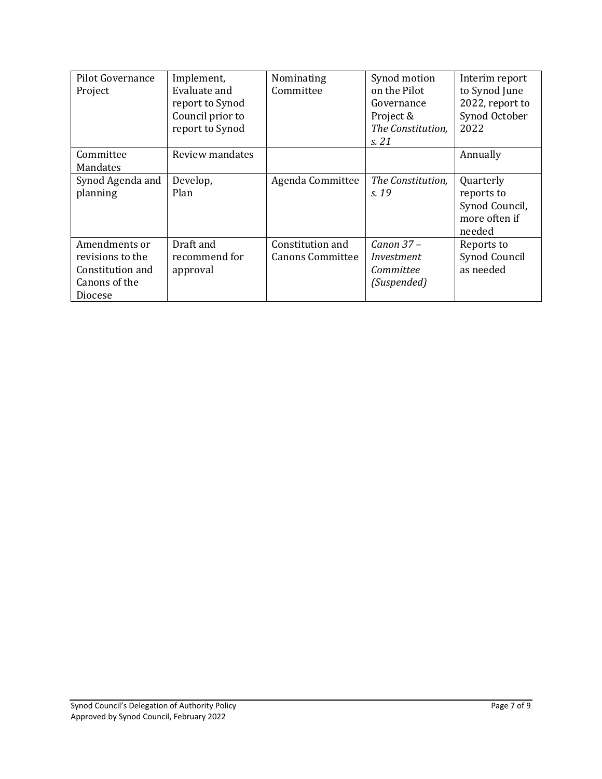| Pilot Governance<br>Project | Implement,<br>Evaluate and | Nominating<br>Committee | Synod motion<br>on the Pilot | Interim report<br>to Synod June |
|-----------------------------|----------------------------|-------------------------|------------------------------|---------------------------------|
|                             | report to Synod            |                         | Governance                   | 2022, report to                 |
|                             | Council prior to           |                         | Project &                    | Synod October                   |
|                             | report to Synod            |                         | The Constitution,            | 2022                            |
|                             |                            |                         | s. 21                        |                                 |
| Committee                   | Review mandates            |                         |                              | Annually                        |
| Mandates                    |                            |                         |                              |                                 |
| Synod Agenda and            | Develop,                   | Agenda Committee        | The Constitution,            | Quarterly                       |
| planning                    | Plan                       |                         | s. 19                        | reports to                      |
|                             |                            |                         |                              | Synod Council,                  |
|                             |                            |                         |                              | more often if                   |
|                             |                            |                         |                              | needed                          |
| Amendments or               | Draft and                  | Constitution and        | $Canon$ 37 $-$               | Reports to                      |
| revisions to the            | recommend for              | <b>Canons Committee</b> | Investment                   | Synod Council                   |
| Constitution and            | approval                   |                         | Committee                    | as needed                       |
| Canons of the               |                            |                         | (Suspended)                  |                                 |
| Diocese                     |                            |                         |                              |                                 |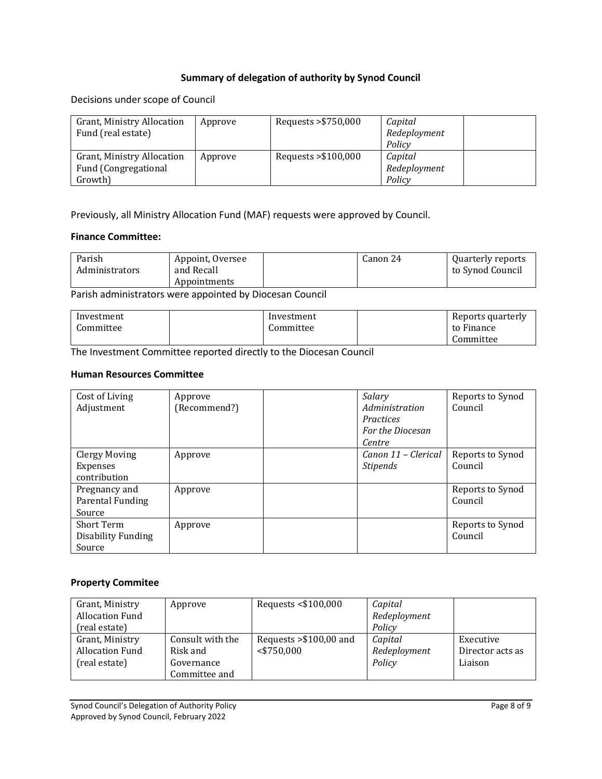### **Summary of delegation of authority by Synod Council**

Decisions under scope of Council

| <b>Grant, Ministry Allocation</b><br>Fund (real estate)       | Approve | Requests > \$750,000  | Capital<br>Redeployment<br>Policy |
|---------------------------------------------------------------|---------|-----------------------|-----------------------------------|
| Grant, Ministry Allocation<br>Fund (Congregational<br>Growth) | Approve | Requests $> $100,000$ | Capital<br>Redeployment<br>Policy |

Previously, all Ministry Allocation Fund (MAF) requests were approved by Council.

#### **Finance Committee:**

| Parish<br>Administrators | Appoint, Oversee<br>and Recall | Canon 24 | Quarterly reports<br>to Synod Council |
|--------------------------|--------------------------------|----------|---------------------------------------|
|                          | Appointments                   |          |                                       |

Parish administrators were appointed by Diocesan Council

| Investment | Investment | Reports quarterly |
|------------|------------|-------------------|
| Committee  | Committee  | to Finance        |
|            |            | Committee         |

The Investment Committee reported directly to the Diocesan Council

#### **Human Resources Committee**

| Cost of Living     | Approve      | Salary              | Reports to Synod |
|--------------------|--------------|---------------------|------------------|
| Adjustment         | (Recommend?) | Administration      | Council          |
|                    |              | Practices           |                  |
|                    |              | For the Diocesan    |                  |
|                    |              | Centre              |                  |
| Clergy Moving      | Approve      | Canon 11 - Clerical | Reports to Synod |
| Expenses           |              | <b>Stipends</b>     | Council          |
| contribution       |              |                     |                  |
| Pregnancy and      | Approve      |                     | Reports to Synod |
| Parental Funding   |              |                     | Council          |
| Source             |              |                     |                  |
| <b>Short Term</b>  | Approve      |                     | Reports to Synod |
| Disability Funding |              |                     | Council          |
| Source             |              |                     |                  |

#### **Property Commitee**

| Grant, Ministry        | Approve          | Requests <\$100,000      | Capital      |                  |
|------------------------|------------------|--------------------------|--------------|------------------|
| <b>Allocation Fund</b> |                  |                          | Redeployment |                  |
| (real estate)          |                  |                          | Policy       |                  |
| Grant, Ministry        | Consult with the | Requests $> $100,00$ and | Capital      | Executive        |
| <b>Allocation Fund</b> | Risk and         | $<$ \$750,000            | Redeployment | Director acts as |
| (real estate)          | Governance       |                          | Policy       | Liaison          |
|                        | Committee and    |                          |              |                  |